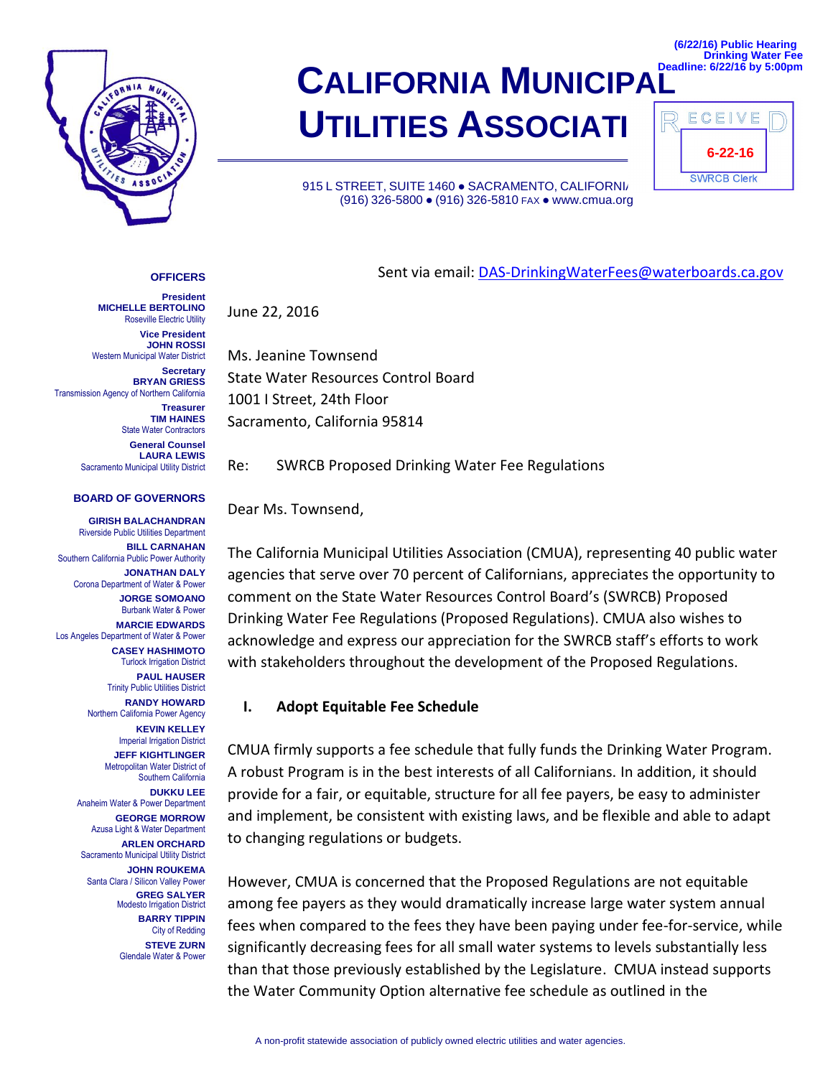

# **CALIFORNIA MUNICIPA UTILITIES ASSOCIATI**

915 L STREET, SUITE 1460 · SACRAMENTO, CALIFORNIA (916) 326-5800 ● (916) 326-5810 FAX ● www.cmua.org

|  | <b>Drinking Water Fee</b><br>Deadline: 6/22/16 by 5:00pm |  |  |
|--|----------------------------------------------------------|--|--|
|  |                                                          |  |  |

**(6/22/16) Public Hearing**

| ECEIVE             |  |
|--------------------|--|
| $6 - 22 - 16$      |  |
| <b>SWRCB Clerk</b> |  |

#### **OFFICERS President**

Sent via email: [DAS-DrinkingWaterFees@waterboards.ca.gov](mailto:DAS-DrinkingWaterFees@waterboards.ca.gov)

June 22, 2016

Ms. Jeanine Townsend State Water Resources Control Board 1001 I Street, 24th Floor Sacramento, California 95814

Re: SWRCB Proposed Drinking Water Fee Regulations

Dear Ms. Townsend,

The California Municipal Utilities Association (CMUA), representing 40 public water agencies that serve over 70 percent of Californians, appreciates the opportunity to comment on the State Water Resources Control Board's (SWRCB) Proposed Drinking Water Fee Regulations (Proposed Regulations). CMUA also wishes to acknowledge and express our appreciation for the SWRCB staff's efforts to work with stakeholders throughout the development of the Proposed Regulations.

#### **I. Adopt Equitable Fee Schedule**

CMUA firmly supports a fee schedule that fully funds the Drinking Water Program. A robust Program is in the best interests of all Californians. In addition, it should provide for a fair, or equitable, structure for all fee payers, be easy to administer and implement, be consistent with existing laws, and be flexible and able to adapt to changing regulations or budgets.

However, CMUA is concerned that the Proposed Regulations are not equitable among fee payers as they would dramatically increase large water system annual fees when compared to the fees they have been paying under fee-for-service, while significantly decreasing fees for all small water systems to levels substantially less than that those previously established by the Legislature. CMUA instead supports the Water Community Option alternative fee schedule as outlined in the

Roseville Electric Utility **Vice President JOHN ROSSI** Western Municipal Water District **Secretary BRYAN GRIESS** Transmission Agency of Northern California **Treasurer TIM HAINES** State Water Contractors

**MICHELLE BERTOLINO**

**General Counsel LAURA LEWIS** Sacramento Municipal Utility District

#### **BOARD OF GOVERNORS**

**GIRISH BALACHANDRAN** Riverside Public Utilities Department **BILL CARNAHAN** Southern California Public Power Authority **JONATHAN DALY** Corona Department of Water & Power **JORGE SOMOANO** Burbank Water & Power **MARCIE EDWARDS** Los Angeles Department of Water & Power **CASEY HASHIMOTO Turlock Irrigation District PAUL HAUSER** Trinity Public Utilities District **RANDY HOWARD** Northern California Power Agency **KEVIN KELLEY Imperial Irrigation District JEFF KIGHTLINGER** Metropolitan Water District of Southern California **DUKKU LEE** Anaheim Water & Power Department **GEORGE MORROW** Azusa Light & Water Department **ARLEN ORCHARD** Sacramento Municipal Utility District **JOHN ROUKEMA** Santa Clara / Silicon Valley Power **GREG SALYER** Modesto Irrigation District **BARRY TIPPIN** City of Redding **STEVE ZURN** Glendale Water & Power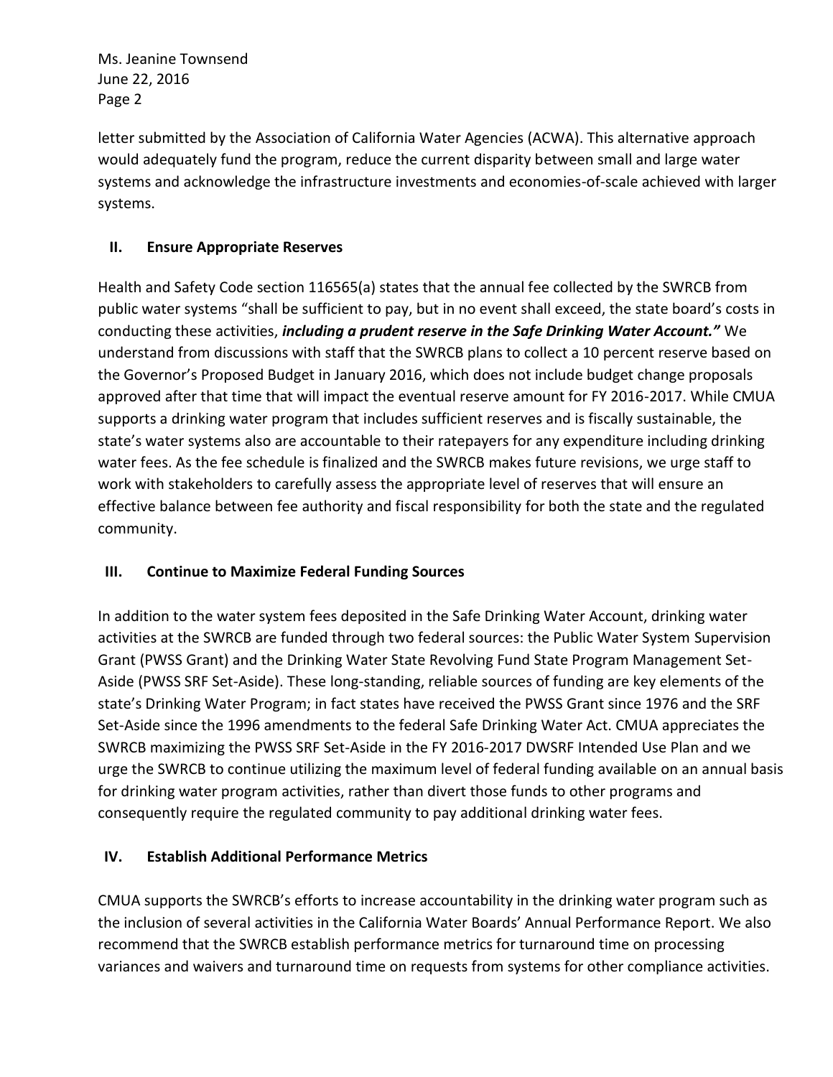Ms. Jeanine Townsend June 22, 2016 Page 2

letter submitted by the Association of California Water Agencies (ACWA). This alternative approach would adequately fund the program, reduce the current disparity between small and large water systems and acknowledge the infrastructure investments and economies-of-scale achieved with larger systems.

## **II. Ensure Appropriate Reserves**

Health and Safety Code section 116565(a) states that the annual fee collected by the SWRCB from public water systems "shall be sufficient to pay, but in no event shall exceed, the state board's costs in conducting these activities, *including a prudent reserve in the Safe Drinking Water Account."* We understand from discussions with staff that the SWRCB plans to collect a 10 percent reserve based on the Governor's Proposed Budget in January 2016, which does not include budget change proposals approved after that time that will impact the eventual reserve amount for FY 2016-2017. While CMUA supports a drinking water program that includes sufficient reserves and is fiscally sustainable, the state's water systems also are accountable to their ratepayers for any expenditure including drinking water fees. As the fee schedule is finalized and the SWRCB makes future revisions, we urge staff to work with stakeholders to carefully assess the appropriate level of reserves that will ensure an effective balance between fee authority and fiscal responsibility for both the state and the regulated community.

### **III. Continue to Maximize Federal Funding Sources**

In addition to the water system fees deposited in the Safe Drinking Water Account, drinking water activities at the SWRCB are funded through two federal sources: the Public Water System Supervision Grant (PWSS Grant) and the Drinking Water State Revolving Fund State Program Management Set-Aside (PWSS SRF Set-Aside). These long-standing, reliable sources of funding are key elements of the state's Drinking Water Program; in fact states have received the PWSS Grant since 1976 and the SRF Set-Aside since the 1996 amendments to the federal Safe Drinking Water Act. CMUA appreciates the SWRCB maximizing the PWSS SRF Set-Aside in the FY 2016-2017 DWSRF Intended Use Plan and we urge the SWRCB to continue utilizing the maximum level of federal funding available on an annual basis for drinking water program activities, rather than divert those funds to other programs and consequently require the regulated community to pay additional drinking water fees.

## **IV. Establish Additional Performance Metrics**

CMUA supports the SWRCB's efforts to increase accountability in the drinking water program such as the inclusion of several activities in the California Water Boards' Annual Performance Report. We also recommend that the SWRCB establish performance metrics for turnaround time on processing variances and waivers and turnaround time on requests from systems for other compliance activities.